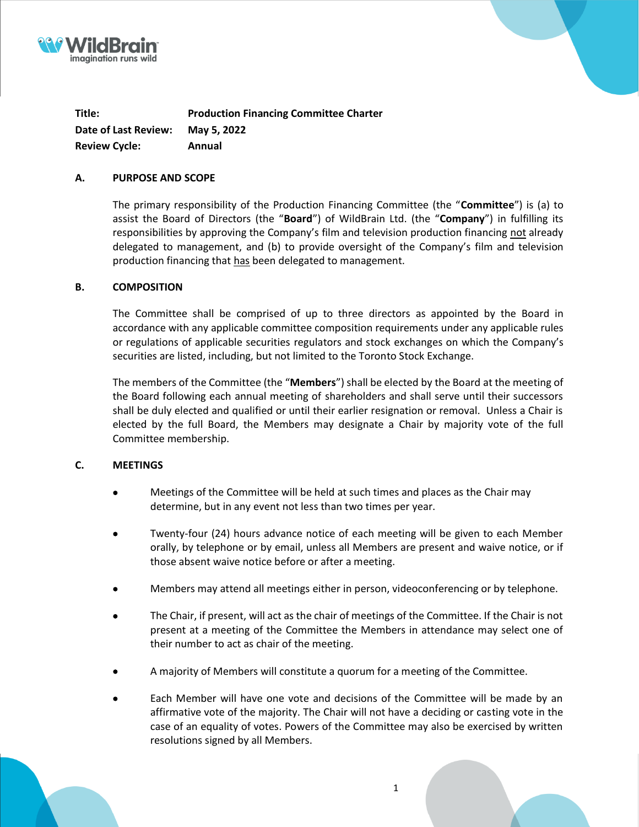



**Title: Production Financing Committee Charter Date of Last Review: May 5, 2022 Review Cycle: Annual**

# **A. PURPOSE AND SCOPE**

The primary responsibility of the Production Financing Committee (the "**Committee**") is (a) to assist the Board of Directors (the "**Board**") of WildBrain Ltd. (the "**Company**") in fulfilling its responsibilities by approving the Company's film and television production financing not already delegated to management, and (b) to provide oversight of the Company's film and television production financing that has been delegated to management.

### **B. COMPOSITION**

The Committee shall be comprised of up to three directors as appointed by the Board in accordance with any applicable committee composition requirements under any applicable rules or regulations of applicable securities regulators and stock exchanges on which the Company's securities are listed, including, but not limited to the Toronto Stock Exchange.

The members of the Committee (the "**Members**") shall be elected by the Board at the meeting of the Board following each annual meeting of shareholders and shall serve until their successors shall be duly elected and qualified or until their earlier resignation or removal. Unless a Chair is elected by the full Board, the Members may designate a Chair by majority vote of the full Committee membership.

# **C. MEETINGS**

- Meetings of the Committee will be held at such times and places as the Chair may determine, but in any event not less than two times per year.
- Twenty-four (24) hours advance notice of each meeting will be given to each Member orally, by telephone or by email, unless all Members are present and waive notice, or if those absent waive notice before or after a meeting.
- Members may attend all meetings either in person, videoconferencing or by telephone.
- The Chair, if present, will act as the chair of meetings of the Committee. If the Chair is not present at a meeting of the Committee the Members in attendance may select one of their number to act as chair of the meeting.
- A majority of Members will constitute a quorum for a meeting of the Committee.
- Each Member will have one vote and decisions of the Committee will be made by an affirmative vote of the majority. The Chair will not have a deciding or casting vote in the case of an equality of votes. Powers of the Committee may also be exercised by written resolutions signed by all Members.

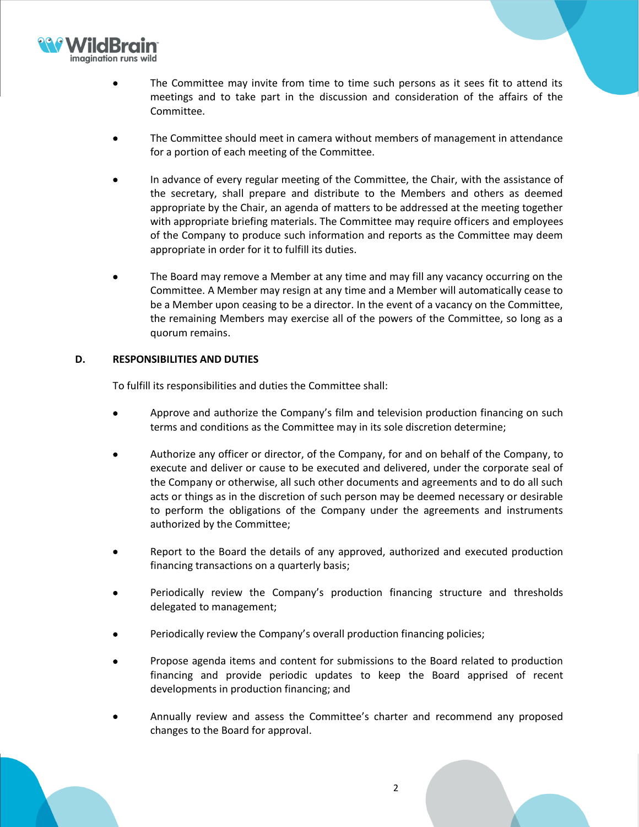

- The Committee may invite from time to time such persons as it sees fit to attend its meetings and to take part in the discussion and consideration of the affairs of the Committee.
- The Committee should meet in camera without members of management in attendance for a portion of each meeting of the Committee.
- In advance of every regular meeting of the Committee, the Chair, with the assistance of the secretary, shall prepare and distribute to the Members and others as deemed appropriate by the Chair, an agenda of matters to be addressed at the meeting together with appropriate briefing materials. The Committee may require officers and employees of the Company to produce such information and reports as the Committee may deem appropriate in order for it to fulfill its duties.
- The Board may remove a Member at any time and may fill any vacancy occurring on the Committee. A Member may resign at any time and a Member will automatically cease to be a Member upon ceasing to be a director. In the event of a vacancy on the Committee, the remaining Members may exercise all of the powers of the Committee, so long as a quorum remains.

# **D. RESPONSIBILITIES AND DUTIES**

To fulfill its responsibilities and duties the Committee shall:

- Approve and authorize the Company's film and television production financing on such terms and conditions as the Committee may in its sole discretion determine;
- Authorize any officer or director, of the Company, for and on behalf of the Company, to execute and deliver or cause to be executed and delivered, under the corporate seal of the Company or otherwise, all such other documents and agreements and to do all such acts or things as in the discretion of such person may be deemed necessary or desirable to perform the obligations of the Company under the agreements and instruments authorized by the Committee;
- Report to the Board the details of any approved, authorized and executed production financing transactions on a quarterly basis;
- Periodically review the Company's production financing structure and thresholds delegated to management;
- Periodically review the Company's overall production financing policies;
- Propose agenda items and content for submissions to the Board related to production financing and provide periodic updates to keep the Board apprised of recent developments in production financing; and
- Annually review and assess the Committee's charter and recommend any proposed changes to the Board for approval.